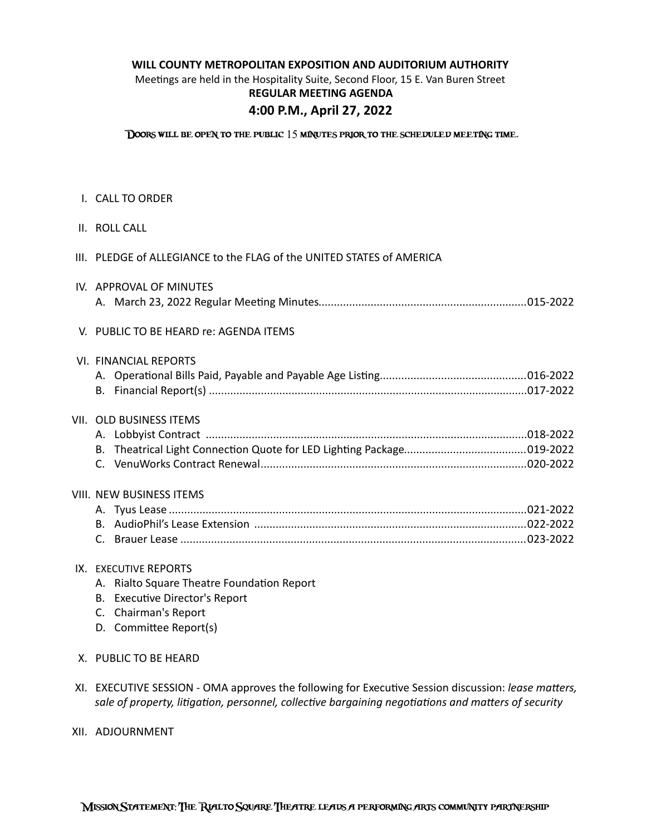# WILL COUNTY METROPOLITAN EXPOSITION AND AUDITORIUM AUTHORITY

Meetings are held in the Hospitality Suite, Second Floor, 15 E. Van Buren Street **REGULAR MEETING AGENDA**

# **4:00 P.M., April 27, 2022**

Doors will be open to the public 15 minutes prior to the scheduled meeting time.

- **I. CALL TO ORDER**
- II. ROLL CALL
- III. PLEDGE of ALLEGIANCE to the FLAG of the UNITED STATES of AMERICA
- IV. APPROVAL OF MINUTES A. March 23, 2022 Regular Meeting Minutes 015-2022 ....................................................................

# V. PUBLIC TO BE HEARD re: AGENDA ITEMS

|  | VI. FINANCIAL REPORTS |  |
|--|-----------------------|--|
|  |                       |  |
|  |                       |  |

## VII. OLD BUSINESS ITEMS

# VIII. NEW BUSINESS ITEMS

# IX. EXECUTIVE REPORTS

- A. Rialto Square Theatre Foundation Report
- B. Executive Director's Report
- C. Chairman's Report
- D. Committee Report(s)
- X. PUBLIC TO BE HEARD
- XI. EXECUTIVE SESSION OMA approves the following for Executive Session discussion: *lease matters,* sale of property, litigation, personnel, collective bargaining negotiations and matters of security
- XII. ADJOURNMENT